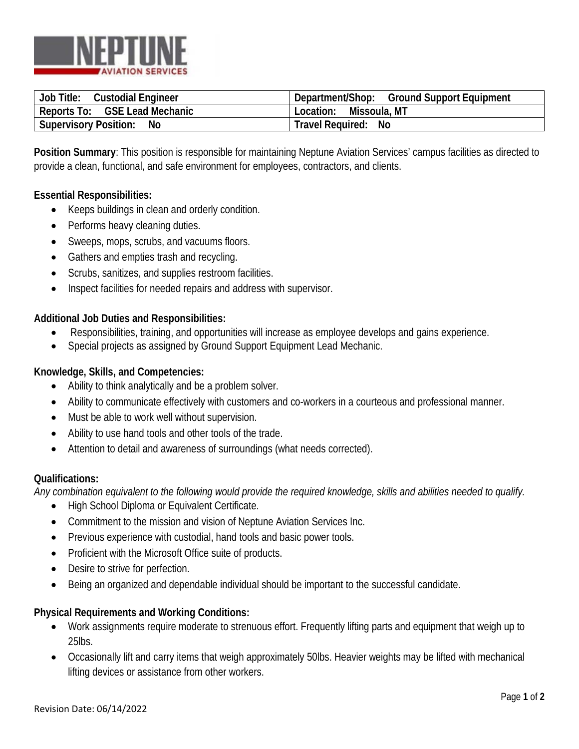

| Job Title:<br><b>Custodial Engineer</b> | Department/Shop: Ground Support Equipment |
|-----------------------------------------|-------------------------------------------|
| Reports To: GSE Lead Mechanic           | Location: Missoula, MT                    |
| <b>Supervisory Position:</b><br>No      | Travel Required: No                       |

**Position Summary**: This position is responsible for maintaining Neptune Aviation Services' campus facilities as directed to provide a clean, functional, and safe environment for employees, contractors, and clients.

### **Essential Responsibilities:**

- Keeps buildings in clean and orderly condition.
- Performs heavy cleaning duties.
- Sweeps, mops, scrubs, and vacuums floors.
- Gathers and empties trash and recycling.
- Scrubs, sanitizes, and supplies restroom facilities.
- Inspect facilities for needed repairs and address with supervisor.

### **Additional Job Duties and Responsibilities:**

- Responsibilities, training, and opportunities will increase as employee develops and gains experience.
- Special projects as assigned by Ground Support Equipment Lead Mechanic.

## **Knowledge, Skills, and Competencies:**

- Ability to think analytically and be a problem solver.
- Ability to communicate effectively with customers and co-workers in a courteous and professional manner.
- Must be able to work well without supervision.
- Ability to use hand tools and other tools of the trade.
- Attention to detail and awareness of surroundings (what needs corrected).

### **Qualifications:**

*Any combination equivalent to the following would provide the required knowledge, skills and abilities needed to qualify.*

- High School Diploma or Equivalent Certificate.
- Commitment to the mission and vision of Neptune Aviation Services Inc.
- Previous experience with custodial, hand tools and basic power tools.
- Proficient with the Microsoft Office suite of products.
- Desire to strive for perfection.
- Being an organized and dependable individual should be important to the successful candidate.

### **Physical Requirements and Working Conditions:**

- Work assignments require moderate to strenuous effort. Frequently lifting parts and equipment that weigh up to 25lbs.
- Occasionally lift and carry items that weigh approximately 50lbs. Heavier weights may be lifted with mechanical lifting devices or assistance from other workers.